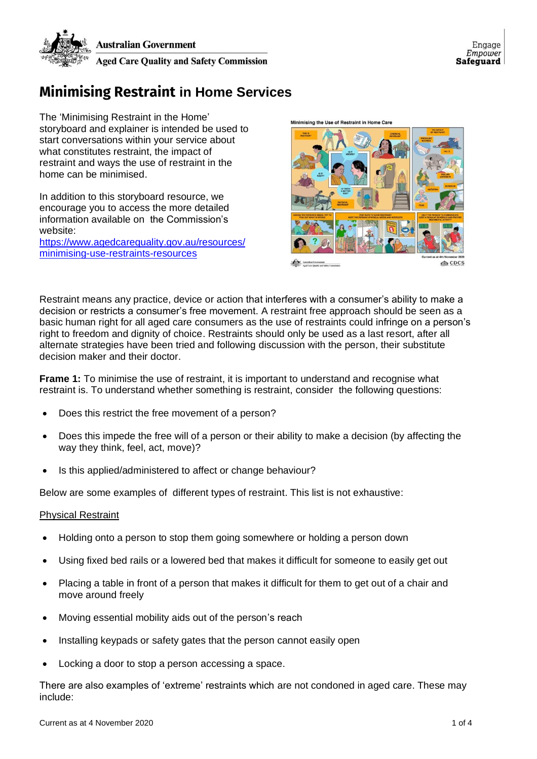

## **Minimising Restraint in Home Services**

The 'Minimising Restraint in the Home' storyboard and explainer is intended be used to start conversations within your service about what constitutes restraint, the impact of restraint and ways the use of restraint in the home can be minimised.

In addition to this storyboard resource, we encourage you to access the more detailed information available on the Commission's website:

[https://www.agedcarequality.gov.au/resources/](https://www.agedcarequality.gov.au/resources/minimising-use-restraints-resources) [minimising-use-restraints-resources](https://www.agedcarequality.gov.au/resources/minimising-use-restraints-resources)



Restraint means any practice, device or action that interferes with a consumer's ability to make a decision or restricts a consumer's free movement. A restraint free approach should be seen as a basic human right for all aged care consumers as the use of restraints could infringe on a person's right to freedom and dignity of choice. Restraints should only be used as a last resort, after all alternate strategies have been tried and following discussion with the person, their substitute decision maker and their doctor.

**Frame 1:** To minimise the use of restraint, it is important to understand and recognise what restraint is. To understand whether something is restraint, consider the following questions:

- Does this restrict the free movement of a person?
- Does this impede the free will of a person or their ability to make a decision (by affecting the way they think, feel, act, move)?
- Is this applied/administered to affect or change behaviour?

Below are some examples of different types of restraint. This list is not exhaustive:

## Physical Restraint

- Holding onto a person to stop them going somewhere or holding a person down
- Using fixed bed rails or a lowered bed that makes it difficult for someone to easily get out
- Placing a table in front of a person that makes it difficult for them to get out of a chair and move around freely
- Moving essential mobility aids out of the person's reach
- Installing keypads or safety gates that the person cannot easily open
- Locking a door to stop a person accessing a space.

There are also examples of 'extreme' restraints which are not condoned in aged care. These may include: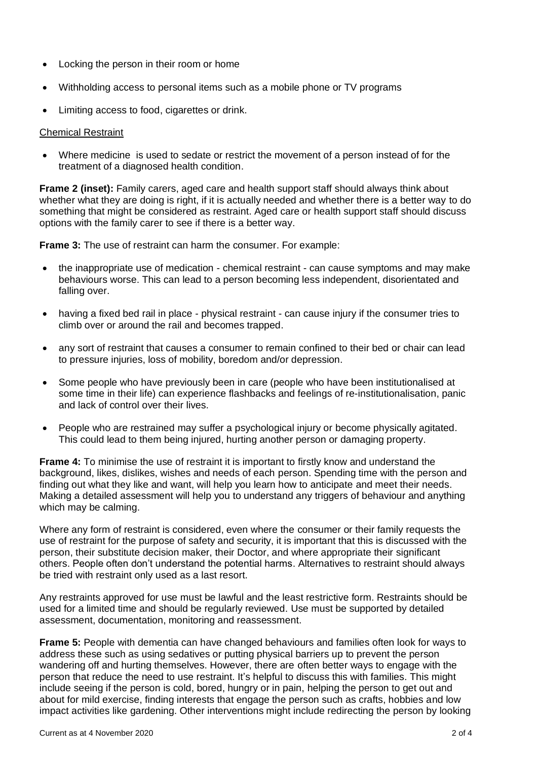- Locking the person in their room or home
- Withholding access to personal items such as a mobile phone or TV programs
- Limiting access to food, cigarettes or drink.

## Chemical Restraint

• Where medicine is used to sedate or restrict the movement of a person instead of for the treatment of a diagnosed health condition.

**Frame 2 (inset):** Family carers, aged care and health support staff should always think about whether what they are doing is right, if it is actually needed and whether there is a better way to do something that might be considered as restraint. Aged care or health support staff should discuss options with the family carer to see if there is a better way.

**Frame 3:** The use of restraint can harm the consumer. For example:

- the inappropriate use of medication chemical restraint can cause symptoms and may make behaviours worse. This can lead to a person becoming less independent, disorientated and falling over.
- having a fixed bed rail in place physical restraint can cause injury if the consumer tries to climb over or around the rail and becomes trapped.
- any sort of restraint that causes a consumer to remain confined to their bed or chair can lead to pressure injuries, loss of mobility, boredom and/or depression.
- Some people who have previously been in care (people who have been institutionalised at some time in their life) can experience flashbacks and feelings of re-institutionalisation, panic and lack of control over their lives.
- People who are restrained may suffer a psychological injury or become physically agitated. This could lead to them being injured, hurting another person or damaging property.

**Frame 4:** To minimise the use of restraint it is important to firstly know and understand the background, likes, dislikes, wishes and needs of each person. Spending time with the person and finding out what they like and want, will help you learn how to anticipate and meet their needs. Making a detailed assessment will help you to understand any triggers of behaviour and anything which may be calming.

Where any form of restraint is considered, even where the consumer or their family requests the use of restraint for the purpose of safety and security, it is important that this is discussed with the person, their substitute decision maker, their Doctor, and where appropriate their significant others. People often don't understand the potential harms. Alternatives to restraint should always be tried with restraint only used as a last resort.

Any restraints approved for use must be lawful and the least restrictive form. Restraints should be used for a limited time and should be regularly reviewed. Use must be supported by detailed assessment, documentation, monitoring and reassessment.

**Frame 5:** People with dementia can have changed behaviours and families often look for ways to address these such as using sedatives or putting physical barriers up to prevent the person wandering off and hurting themselves. However, there are often better ways to engage with the person that reduce the need to use restraint. It's helpful to discuss this with families. This might include seeing if the person is cold, bored, hungry or in pain, helping the person to get out and about for mild exercise, finding interests that engage the person such as crafts, hobbies and low impact activities like gardening. Other interventions might include redirecting the person by looking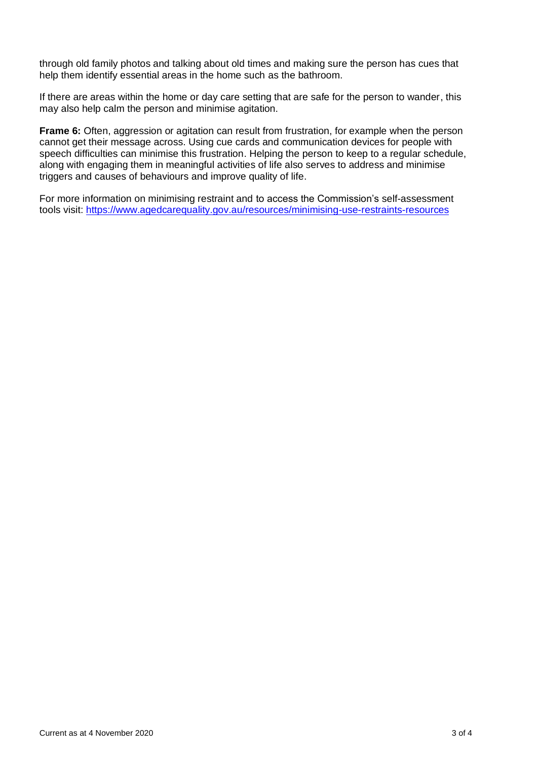through old family photos and talking about old times and making sure the person has cues that help them identify essential areas in the home such as the bathroom.

If there are areas within the home or day care setting that are safe for the person to wander, this may also help calm the person and minimise agitation.

**Frame 6:** Often, aggression or agitation can result from frustration, for example when the person cannot get their message across. Using cue cards and communication devices for people with speech difficulties can minimise this frustration. Helping the person to keep to a regular schedule, along with engaging them in meaningful activities of life also serves to address and minimise triggers and causes of behaviours and improve quality of life.

For more information on minimising restraint and to access the Commission's self-assessment tools visit: <https://www.agedcarequality.gov.au/resources/minimising-use-restraints-resources>